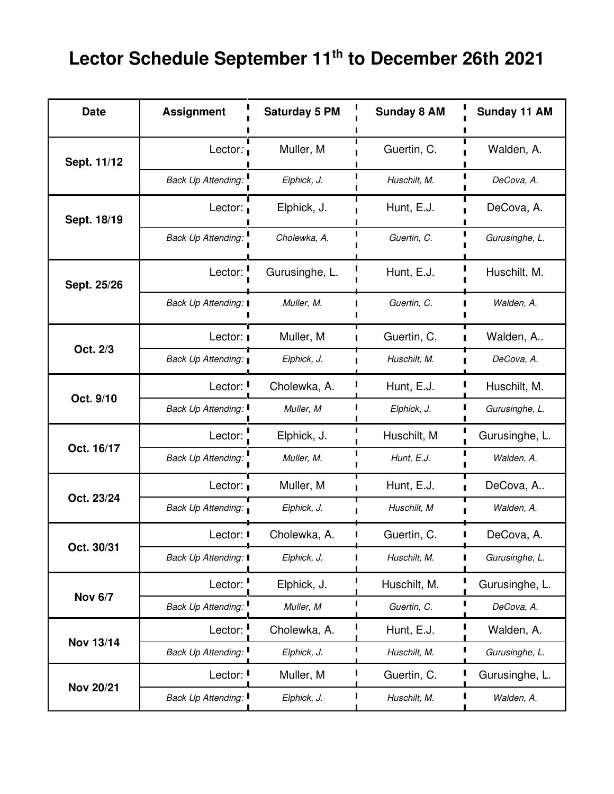## **Lector Schedule September 11th to December 26th 2021**

| <b>Date</b>      | <b>Assignment</b>                | <b>Saturday 5 PM</b> | <b>Sunday 8 AM</b> | Sunday 11 AM   |
|------------------|----------------------------------|----------------------|--------------------|----------------|
| Sept. 11/12      | Lector:                          | Muller, M            | Guertin, C.        | Walden, A.     |
|                  | <b>Back Up Attending:</b>        | Elphick, J.          | Huschilt, M.       | DeCova, A.     |
| Sept. 18/19      | Lector: $\overline{\phantom{a}}$ | Elphick, J.          | Hunt, E.J.         | DeCova, A.     |
|                  | <b>Back Up Attending:</b>        | Cholewka, A.         | Guertin, C.        | Gurusinghe, L. |
| Sept. 25/26      | Lector:                          | Gurusinghe, L.       | Hunt, E.J.         | Huschilt, M.   |
|                  | Back Up Attending: I             | Muller, M.           | Guertin, C.        | Walden, A.     |
| Oct. 2/3         | Lector:                          | Muller, M            | Guertin, C.        | Walden, A      |
|                  | Back Up Attending:               | Elphick, J.          | Huschilt, M.       | DeCova, A.     |
| Oct. 9/10        | Lector:                          | Cholewka, A.         | Hunt, E.J.         | Huschilt, M.   |
|                  | <b>Back Up Attending:</b>        | Muller, M            | Elphick, J.        | Gurusinghe, L. |
| Oct. 16/17       | Lector:                          | Elphick, J.          | Huschilt, M        | Gurusinghe, L. |
|                  | <b>Back Up Attending:</b>        | Muller, M.           | Hunt, E.J.         | Walden, A.     |
| Oct. 23/24       | Lector:                          | Muller, M            | Hunt, E.J.         | DeCova, A      |
|                  | <b>Back Up Attending:</b>        | Elphick, J.          | Huschilt, M        | Walden, A.     |
| Oct. 30/31       | Lector: I                        | Cholewka, A.         | Guertin, C.        | DeCova, A.     |
|                  | Back Up Attending: I             | Elphick, J.          | Huschilt, M.<br>П  | Gurusinghe, L. |
| <b>Nov 6/7</b>   | Lector:                          | Elphick, J.          | Huschilt, M.       | Gurusinghe, L. |
|                  | <b>Back Up Attending:</b>        | Muller, M            | Guertin, C.        | DeCova, A.     |
| <b>Nov 13/14</b> | Lector:                          | Cholewka, A.         | Hunt, E.J.         | Walden, A.     |
|                  | Back Up Attending.               | Elphick, J.          | Huschilt, M.       | Gurusinghe, L. |
| <b>Nov 20/21</b> | Lector:                          | Muller, M            | Guertin, C.        | Gurusinghe, L. |
|                  | Back Up Attending: I             | Elphick, J.          | Huschilt, M.       | Walden, A.     |